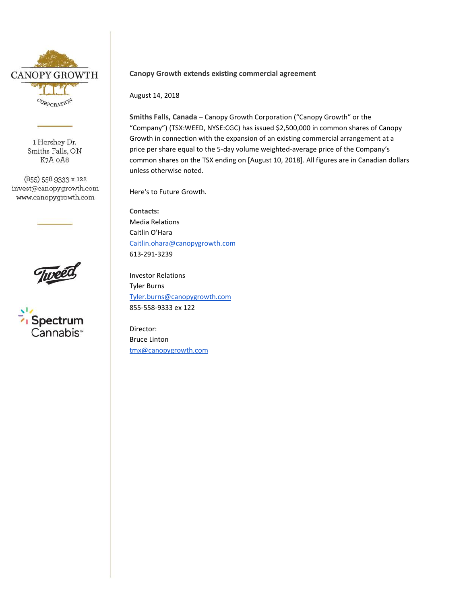

1 Hershey Dr. Smiths Falls, ON K7A OA8

(855) 558 9333 x 122 invest@canopygrowth.com www.canopygrowth.com





## **Canopy Growth extends existing commercial agreement**

August 14, 2018

**Smiths Falls, Canada** – Canopy Growth Corporation ("Canopy Growth" or the "Company") (TSX:WEED, NYSE:CGC) has issued \$2,500,000 in common shares of Canopy Growth in connection with the expansion of an existing commercial arrangement at a price per share equal to the 5-day volume weighted-average price of the Company's common shares on the TSX ending on [August 10, 2018]. All figures are in Canadian dollars unless otherwise noted.

Here's to Future Growth.

**Contacts:** Media Relations Caitlin O'Hara [Caitlin.ohara@canopygrowth.com](mailto:Caitlin.ohara@canopygrowth.com) 613-291-3239

Investor Relations Tyler Burns [Tyler.burns@canopygrowth.com](mailto:Tyler.burns@canopygrowth.com) 855-558-9333 ex 122

Director: Bruce Linton [tmx@canopygrowth.com](mailto:tmx@canopygrowth.com)